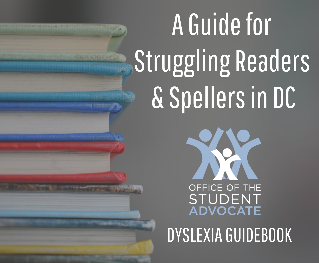# A Guide for Struggling Readers & Spellers in DC



DYSLEXIA GUIDEBOOK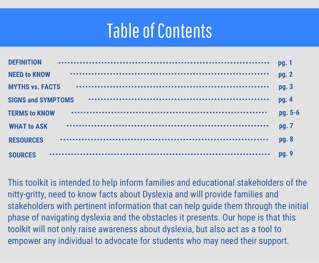## Table of Contents

| <b>DEFINITION</b>         | pg. 1   |
|---------------------------|---------|
| <b>NEED to KNOW</b>       | pg. 2   |
| <b>MYTHS vs. FACTS</b>    | pg. 3   |
| <b>SIGNS and SYMPTOMS</b> | pg. 4   |
| <b>TERMS to KNOW</b>      | pg. 5-6 |
| <b>WHAT to ASK</b>        | pg. 7   |
| <b>RESOURCES</b>          | pg. 8   |
| <b>SOURCES</b>            | pg. 9   |

This toolkit is intended to help inform families and educational stakeholders of the nitty-gritty, need to know facts about Dyslexia and will provide families and stakeholders with pertinent information that can help guide them through the initial phase of navigating dyslexia and the obstacles it presents. Our hope is that this toolkit will not only raise awareness about dyslexia, but also act as a tool to empower any individual to advocate for students who may need their support.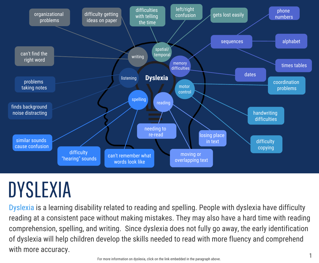

# DYSLEXIA

[Dyslexia](https://www.understood.org/en/learning-thinking-differences/child-learning-disabilities/dyslexia/what-is-dyslexia) is a learning disability related to reading and spelling. People with dyslexia have difficulty reading at a consistent pace without making mistakes. They may also have a hard time with reading comprehension, spelling, and writing. Since dyslexia does not fully go away, the early identification of dyslexia will help children develop the skills needed to read with more fluency and comprehend with more accuracy.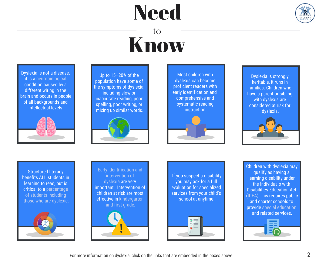# **Need**



## Know to

Dyslexia is not a disease, it is a [neurobiological](https://improvingliteracy.org/ask-an-expert/what-do-we-know-about-whats-different-brain-person-dyslexia) condition caused by a different wiring in the brain and occurs in people of all backgrounds and intellectual levels.



Up to 15–20% of the population have some of the symptoms of dyslexia, including slow or inaccurate reading, poor spelling, poor writing, or mixing up similar words.



Most children with dyslexia can become proficient readers with early identification and comprehensive and systematic reading instruction.



Dyslexia is strongly heritable, it runs in families. Children who have a parent or sibling with dyslexia are considered at risk for dyslexia.



Structured literacy benefits ALL students in learning to read, but is [critical to a percentage](https://dyslexiaida.org/ladder-of-reading-infographic-structured-literacy-helps-all-students/)  of students including those who are dyslexic.



[Early identification and](https://improvingliteracy.org/ask-an-expert/why-early-intervention-so-important-kids-dyslexia)  intervention of dyslexia are very important. Intervention of children at risk are most effe[ctive in kindergarten](http://dyslexia.yale.edu/resources/parents/what-parents-can-do/suspect-dyslexia-act-early/)  and first grade.



 If you suspect a disability you may ask for a full evaluation for specialized services from your child's school at anytime.



Children with dyslexia may qualify as having a learning disability under the Individuals with Disabilities Education Act [\(IDEA\)](https://sites.ed.gov/idea/about-idea/).This requires public and charter schools to provide [special education](https://www.understood.org/en/school-learning/special-services/special-education-basics/understanding-special-education) and related services.

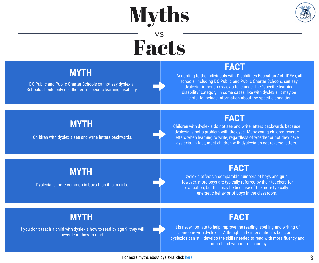# Myths



## Facts vs

### **MYTH**

DC Public and Public Charter Schools cannot say dyslexia. Schools should only use the term "specific learning disability"

### **FACT**

According to the Individuals with Disabilities Education Act (IDEA), all schools, including DC Public and Public Charter Schools, **can** say dyslexia. Although dyslexia falls under the "specific learning disability" category, in some cases, like with dyslexia, it may be helpful to include information about the specific condition.

### **MYTH**

Children with dyslexia see and write letters backwards.

### **FACT**

Children with dyslexia do not see and write letters backwards because dyslexia is not a problem with the eyes. Many young children reverse letters when learning to write, regardless of whether or not they have dyslexia. In fact, most children with dyslexia do not reverse letters.

### **MYTH**

Dyslexia is more common in boys than it is in girls.

### **FACT**

Dyslexia affects a comparable numbers of boys and girls. However, more boys are typically referred by their teachers for evaluation, but this may be because of the more typically energetic behavior of boys in the classroom.

### **MYTH**

If you don't teach a child with dyslexia how to read by age 9, they will never learn how to read.

### **FACT**

It is never too late to help improve the reading, spelling and writing of someone with dyslexia. Although early intervention is best, adult dyslexics can still develop the skills needed to read with more fluency and comprehend with more accuracy.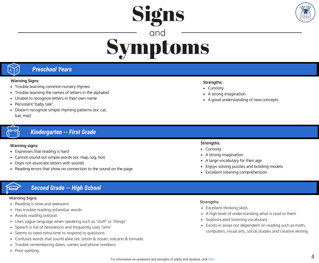

## Symptoms and

Signs

#### *Preschool Years*

#### **Warning Signs:**

- Trouble learning common nursery rhymes
- Trouble learning the names of letters in the alphabet
- Unable to recognize letters in their own name  $\bullet$
- Persistent "baby talk"
- Doesn't recognize simple rhyming patterns (ex: cat, bat, mat)

#### *Kindergarten -- First Grade*

#### **Warning signs:**

- Expresses that reading is hard
- Cannot sound out simple words (ex: map, log, hot)
- Does not associate letters with sounds
- Reading errors that show no connection to the sound on the page

#### *Second Grade -- High School*

#### **Warning Signs:**

- Reading is slow and awkward
- Has trouble reading unfamiliar words
- Avoids reading outloud
- Uses vague language when speaking such as "stuff" or "things"
- Speech is full of hesitations and frequently uses "ums"  $\bullet$
- Seems to need extra time to respond to questions
- Confuses words that sound alike (ex: lotion & ocean, volcano & tornado
- Trouble remembering dates, names and phone numbers
- Poor spelling

#### **Strengths:**

- Curiosity
- A strong imagination
- A good understanding of new concepts

#### **Strengths:**

- Curiosity
- A strong imagination
- A large vocabulary for their age
- Enjoys solving puzzles and building models
- Excellent listening comprehension

#### **Strengths:**

- Excellent thinking skills
- A high level of understanding what is read to them
- Sophisticated listening vocabulary
- Excels in areas not dependent on reading such as math, computers, visual arts, social studies and creative writing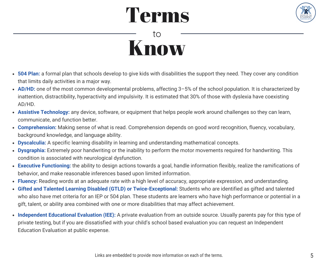# Terms



## Know to

- **504 Plan:** a formal plan that schools develop to give kids with disabilities the support they need. They cover any condition that limits daily activities in a major way.
- **[AD/HD:](https://dyslexiaida.org/attention-deficithyperactivity-disorder-adhd-and-dyslexia/)** one of the most common developmental problems, affecting 3–5% of the school population. It is characterized by inattention, distractibility, hyperactivity and impulsivity. It is estimated that 30% of those with dyslexia have coexisting AD/HD.
- **Assistive Technology:** any device, software, or equipment that helps people work around challenges so they can learn, communicate, and function better.
- **[Comprehension:](https://www.understood.org/en/learning-thinking-differences/child-learning-disabilities/reading-issues/6-essential-skills-needed-for-reading-comprehension?_ul=1*1p5l3f*domain_userid*YW1wLU0tRHVxN2lXY3Rpd1Z4bWo4OEJWTlE.)** Making sense of what is read. Comprehension depends on good word recognition, fluency, vocabulary, background knowledge, and language ability.
- **[Dyscalculia:](https://www.understood.org/en/learning-thinking-differences/child-learning-disabilities/dyscalculia/what-is-dyscalculia)** A specific learning disability in learning and understanding mathematical concepts.
- **[Dysgraphia:](https://www.understood.org/en/learning-thinking-differences/child-learning-disabilities/dysgraphia/understanding-dysgraphia?gclid=CjwKCAiAmNbwBRBOEiwAqcwwpbBLjEqSnDnxmofh-pLSRh0SvgPFPs4QNdJPt3CJWoqhIcyKnTL0bRoCPigQAvD_BwE)** Extremely poor handwriting or the inability to perform the motor movements required for handwriting. This condition is associated with neurological dysfunction.
- **[Executive Functioning:](http://dyslexiahelp.umich.edu/professionals/dyslexia-school/executive-function-disorders)** the ability to design actions towards a goal, handle information flexibly, realize the ramifications of behavior, and make reasonable inferences based upon limited information.
- **Fluency:** Reading words at an adequate rate with a high level of accuracy, appropriate expression, and understanding.
- **Gifted and Talented Learning Disabled (GTLD) or Twice-Exceptional:** Students who are identified as gifted and talented who also have met criteria for an IEP or 504 plan. These students are learners who have high performance or potential in a gift, talent, or ability area combined with one or more disabilities that may affect achievement.
- **Independent Educational Evaluation (IEE):** A private evaluation from an outside source. Usually parents pay for this type of private testing, but if you are dissatisfied with your child's school based evaluation you can request an Independent Education Evaluation at public expense.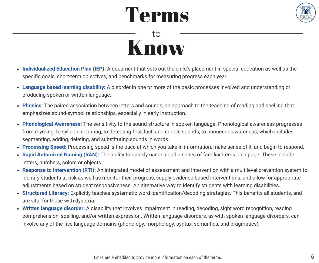# Terms



## Know to

- **[Individualized Education Plan \(IEP\):](https://www.understood.org/en/school-learning/special-services/ieps/understanding-individualized-education-programs)** A document that sets out the child's placement in special education as well as the specific goals, short-term objectives, and benchmarks for measuring progress each year
- **[Language based learning disability:](http://www.ldonline.org/article/56113/)** A disorder in one or more of the basic processes involved and understanding or producing spoken or written language.
- **[Phonics:](https://global.oup.com/education/content/children/issues/phonics-for-parents/?region=international)** The paired association between letters and sounds; an approach to the teaching of reading and spelling that emphasizes sound-symbol relationships, especially in early instruction.
- **Phonological Awareness:** The sensitivity to the sound structure in spoken language. Phonological awareness progresses from rhyming; to syllable counting; to detecting first, last, and middle sounds; to phonemic awareness, which includes segmenting, adding, deleting, and substituting sounds in words.
- **[Processing Speed:](https://www.understood.org/en/learning-thinking-differences/child-learning-disabilities/information-processing-issues/processing-speed-what-you-need-to-know)** Processing speed is the pace at which you take in information, make sense of it, and begin to respond.
- **Rapid Automized Naming (RAN):** The ability to quickly name aloud a series of familiar items on a page. These include letters, numbers, colors or objects.
- **Response to Intervention (RTI):** An integrated model of assessment and intervention with a multilevel prevention system to identify students at risk as well as monitor their progress, supply evidence-based interventions, and allow for appropriate adjustments based on student responsiveness. An alternative way to identify students with learning disabilities.
- **[Structured Literacy:](https://dyslexiaida.org/what-is-structured-literacy/)** Explicitly teaches systematic word-identification/decoding strategies. This benefits all students, and are vital for those with dyslexia.
- **Written language disorder:** A disability that involves impairment in reading, decoding, sight word recognition, reading comprehension, spelling, and/or written expression. Written language disorders, as with spoken language disorders, can involve any of the five language domains (phonology, morphology, syntax, semantics, and pragmatics).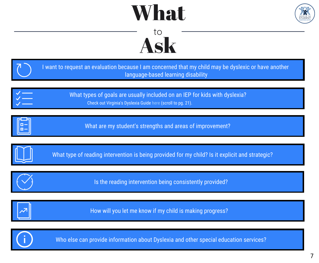# What



## Ask to

| I want to request an evaluation because I am concerned that my child may be dyslexic or have another<br>language-based learning disability |
|--------------------------------------------------------------------------------------------------------------------------------------------|
| What types of goals are usually included on an IEP for kids with dyslexia?<br>Check out Virginia's Dyslexia Guide here (scroll to pg. 21). |
| What are my student's strengths and areas of improvement?                                                                                  |
| What type of reading intervention is being provided for my child? Is it explicit and strategic?                                            |
| Is the reading intervention being consistently provided?                                                                                   |
| How will you let me know if my child is making progress?                                                                                   |
| Who else can provide information about Dyslexia and other special education services?                                                      |

 $\mathbf{U}$ 

7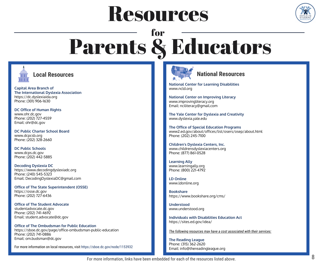# Resources



## Parents & Educators for



**[Capital Area Branch of](https://dc.dyslexiaida.org/)  [The International Dyslexia Association](https://dc.dyslexiaida.org/)** https://dc.dyslexiaida.org Phone: (301) 906-1630

**[DC Office of Human Rights](https://ohr.dc.gov/)** www.ohr.dc.gov Phone: (202) 727-4559 Email: ohr@dc.gov

**[DC Public Charter School Board](https://dcpcsb.org/)** www.dcpcsb.org Phone: (202) 328-2660

**[DC Public Schools](https://dcps.dc.gov/)** www.dcps.dc.gov Phone: (202) 442-5885

**[Decoding Dyslexia DC](https://www.decodingdyslexiadc.org/)** https://www.decodingdyslexiadc.org Phone: [\(240\) 545-5323](https://www.decodingdyslexiadc.org/) Email: [DecodingDyslexiaDC@gmail.com](https://www.decodingdyslexiadc.org/)

**[Office of The State Superintendent \(OSSE\)](https://osse.dc.gov/)** [https://osse.dc.gov](https://osse.dc.gov/) Phone: (202) 727-6436

**[Office of The Student Advocate](https://sboe.dc.gov/page/office-student-advocate)** studentadvocate.dc.gov Phone: (202) 741-4692 Email: student.advocate@dc.gov

**[Office of The Ombudsman for Public Education](https://sboe.dc.gov/page/office-ombudsman-public-education)** https://sboe.dc.gov/page/office-ombudsman-public-education Phone: (202) 741-0886 Email: om.budsman@dc.gov

For more information on local resources, visit <https://sboe.dc.gov/node/1153932>



#### **Local Resources National Resources**

**[National Center for Learning Disabilities](https://www.ncld.org/)** www.ncld.org

**[National Center on Improving Literacy](https://improvingliteracy.org/)** www.improvingliteracy.org Email: nciliteracy@gmail.com

**[The Yale Center for Dyslexia and Creativity](https://www.dyslexia.yale.edu/)** www.dyslexia.yale.edu

**[The Office of Special Education Programs](https://www2.ed.gov/about/offices/list/osers/osep/about.html)** www2.ed.gov/about/offices/list/osers/osep/about.html Phone: (202) 245-7100

**[Children's Dyslexia Centers, Inc.](https://www.childrensdyslexiacenters.org/)**  www.childrensdyslexiacenters.org Phone: (877) 861-0528

**[Learning Ally](https://learningally.org/)** www.learningally.org Phone: (800) 221-4792

**[LD Online](http://www.ldonline.org/)** www.ldonline.org

**[Bookshare](https://www.bookshare.org/cms/)** https://www.bookshare.org/cms/

**[Understood](https://www.understood.org/en/learning-thinking-differences/child-learning-disabilities/dyslexia/what-is-dyslexia)** www.understood.org

**[Individuals with Disabilities Education Act](https://sites.ed.gov/idea/)** https://sites.ed.gov/idea/

*The following resources may have a cost associated with their services:*

**[The Reading League](https://www.thereadingleague.org/)** Phone: (315) 362-2620 Email: info@thereadingleague.org

For more information, links have been embedded for each of the resources listed above.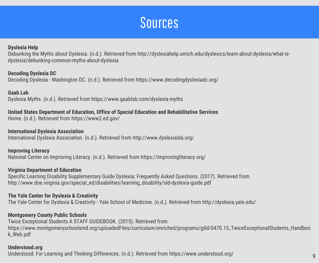## Sources

#### **Dyslexia Help**

Debunking the Myths about Dyslexia. (n.d.). Retrieved from http://dyslexiahelp.umich.edu/dyslexics/learn-about-dyslexia/what-isdyslexia/debunking-common-myths-about-dyslexia

**Decoding Dyslexia DC**

Decoding Dyslexia - Washington DC. (n.d.). Retrieved from https://www.decodingdyslexiadc.org/

**Gaab Lab** Dyslexia Myths. (n.d.). Retrieved from https://www.gaablab.com/dyslexia-myths

#### **United States Department of Education, Office of Special Education and Rehabilitative Services**

Home. (n.d.). Retrieved from https://www2.ed.gov/

**International Dyslexia Association** International Dyslexia Association. (n.d.). Retrieved from http://www.dyslexiaida.org/

**Improving Literacy** National Center on Improving Literacy. (n.d.). Retrieved from https://improvingliteracy.org/

#### **Virginia Department of Education**

Specific Learning Disability Supplementary Guide Dyslexia: Frequently Asked Questions. (2017). Retrieved from http://www.doe.virginia.gov/special\_ed/disabilities/learning\_disability/sld-dyslexia-guide.pdf

#### **The Yale Center for Dyslexia & Creativity**

The Yale Center for Dyslexia & Creativity - Yale School of Medicine. (n.d.). Retrieved from http://dyslexia.yale.edu/

#### **Montgomery County Public Schools**

Twice Exceptional Students A STAFF GUIDEBOOK. (2015). Retrieved from https://www.montgomeryschoolsmd.org/uploadedFiles/curriculum/enriched/programs/gtld/0470.15\_TwiceExceptionalStudents\_Handboo k\_Web.pdf

#### **Understood.org**

Understood: For Learning and Thinking Differences. (n.d.). Retrieved from https://www.understood.org/